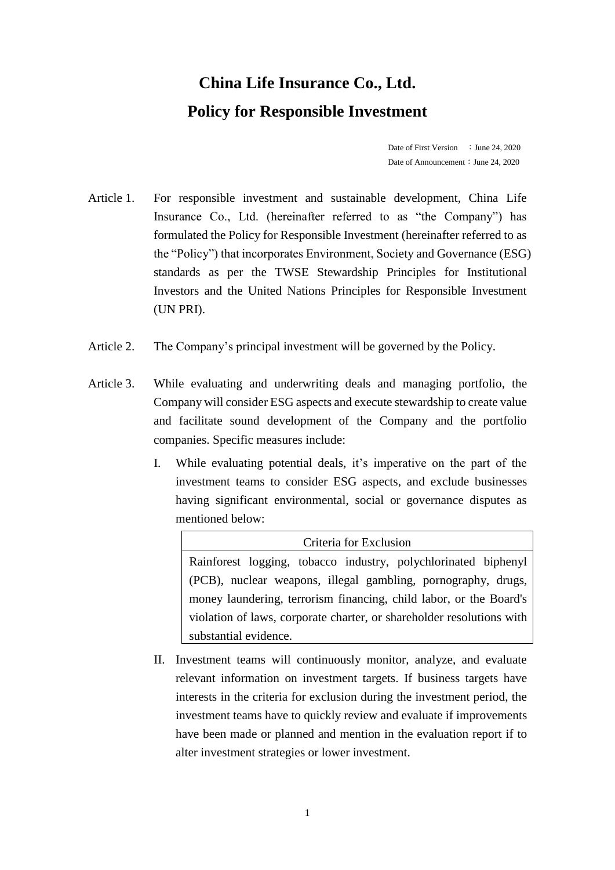## **China Life Insurance Co., Ltd. Policy for Responsible Investment**

Date of First Version : June 24, 2020 Date of Announcement: June 24, 2020

- Article 1. For responsible investment and sustainable development, China Life Insurance Co., Ltd. (hereinafter referred to as "the Company") has formulated the Policy for Responsible Investment (hereinafter referred to as the "Policy") that incorporates Environment, Society and Governance (ESG) standards as per the TWSE Stewardship Principles for Institutional Investors and the United Nations Principles for Responsible Investment (UN PRI).
- Article 2. The Company's principal investment will be governed by the Policy.
- Article 3. While evaluating and underwriting deals and managing portfolio, the Company will consider ESG aspects and execute stewardship to create value and facilitate sound development of the Company and the portfolio companies. Specific measures include:
	- I. While evaluating potential deals, it's imperative on the part of the investment teams to consider ESG aspects, and exclude businesses having significant environmental, social or governance disputes as mentioned below:

Criteria for Exclusion Rainforest logging, tobacco industry, polychlorinated biphenyl (PCB), nuclear weapons, illegal gambling, pornography, drugs, money laundering, terrorism financing, child labor, or the Board's violation of laws, corporate charter, or shareholder resolutions with substantial evidence.

II. Investment teams will continuously monitor, analyze, and evaluate relevant information on investment targets. If business targets have interests in the criteria for exclusion during the investment period, the investment teams have to quickly review and evaluate if improvements have been made or planned and mention in the evaluation report if to alter investment strategies or lower investment.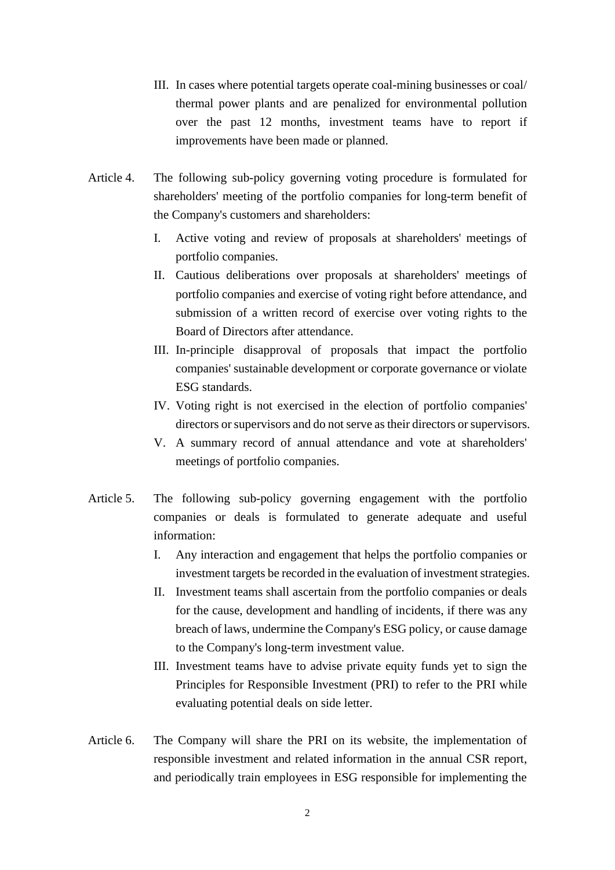- III. In cases where potential targets operate coal-mining businesses or coal/ thermal power plants and are penalized for environmental pollution over the past 12 months, investment teams have to report if improvements have been made or planned.
- Article 4. The following sub-policy governing voting procedure is formulated for shareholders' meeting of the portfolio companies for long-term benefit of the Company's customers and shareholders:
	- I. Active voting and review of proposals at shareholders' meetings of portfolio companies.
	- II. Cautious deliberations over proposals at shareholders' meetings of portfolio companies and exercise of voting right before attendance, and submission of a written record of exercise over voting rights to the Board of Directors after attendance.
	- III. In-principle disapproval of proposals that impact the portfolio companies' sustainable development or corporate governance or violate ESG standards.
	- IV. Voting right is not exercised in the election of portfolio companies' directors or supervisors and do not serve as their directors or supervisors.
	- V. A summary record of annual attendance and vote at shareholders' meetings of portfolio companies.
- Article 5. The following sub-policy governing engagement with the portfolio companies or deals is formulated to generate adequate and useful information:
	- I. Any interaction and engagement that helps the portfolio companies or investment targets be recorded in the evaluation of investment strategies.
	- II. Investment teams shall ascertain from the portfolio companies or deals for the cause, development and handling of incidents, if there was any breach of laws, undermine the Company's ESG policy, or cause damage to the Company's long-term investment value.
	- III. Investment teams have to advise private equity funds yet to sign the Principles for Responsible Investment (PRI) to refer to the PRI while evaluating potential deals on side letter.
- Article 6. The Company will share the PRI on its website, the implementation of responsible investment and related information in the annual CSR report, and periodically train employees in ESG responsible for implementing the